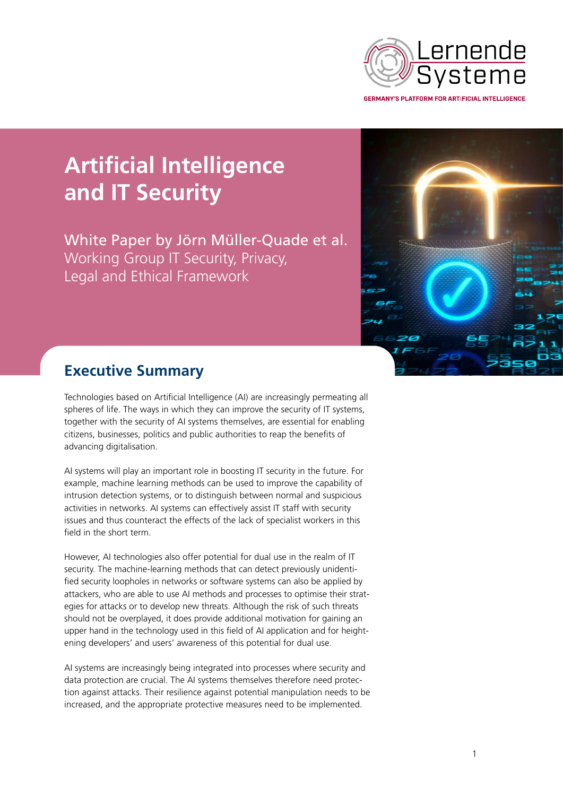

**Artificial Intelligence and IT Security**

White Paper by Jörn Müller-Quade et al. Working Group IT Security, Privacy, Legal and Ethical Framework



# **Executive Summary**

Technologies based on Artificial Intelligence (AI) are increasingly permeating all spheres of life. The ways in which they can improve the security of IT systems, together with the security of AI systems themselves, are essential for enabling citizens, businesses, politics and public authorities to reap the benefits of advancing digitalisation.

AI systems will play an important role in boosting IT security in the future. For example, machine learning methods can be used to improve the capability of intrusion detection systems, or to distinguish between normal and suspicious activities in networks. AI systems can effectively assist IT staff with security issues and thus counteract the effects of the lack of specialist workers in this field in the short term.

However, AI technologies also offer potential for dual use in the realm of IT security. The machine-learning methods that can detect previously unidentified security loopholes in networks or software systems can also be applied by attackers, who are able to use AI methods and processes to optimise their strategies for attacks or to develop new threats. Although the risk of such threats should not be overplayed, it does provide additional motivation for gaining an upper hand in the technology used in this field of AI application and for heightening developers' and users' awareness of this potential for dual use.

AI systems are increasingly being integrated into processes where security and data protection are crucial. The AI systems themselves therefore need protection against attacks. Their resilience against potential manipulation needs to be increased, and the appropriate protective measures need to be implemented.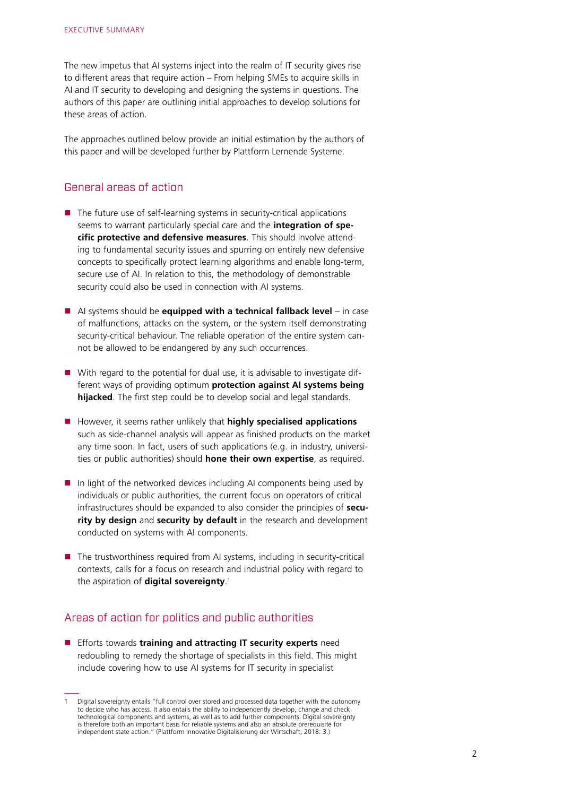The new impetus that AI systems inject into the realm of IT security gives rise to different areas that require action – From helping SMEs to acquire skills in AI and IT security to developing and designing the systems in questions. The authors of this paper are outlining initial approaches to develop solutions for these areas of action.

The approaches outlined below provide an initial estimation by the authors of this paper and will be developed further by Plattform Lernende Systeme.

### General areas of action

- $\blacksquare$  The future use of self-learning systems in security-critical applications seems to warrant particularly special care and the **integration of specific protective and defensive measures**. This should involve attending to fundamental security issues and spurring on entirely new defensive concepts to specifically protect learning algorithms and enable long-term, secure use of AI. In relation to this, the methodology of demonstrable security could also be used in connection with AI systems.
- AI systems should be **equipped with a technical fallback level** in case of malfunctions, attacks on the system, or the system itself demonstrating security-critical behaviour. The reliable operation of the entire system cannot be allowed to be endangered by any such occurrences.
- With regard to the potential for dual use, it is advisable to investigate different ways of providing optimum **protection against AI systems being hijacked**. The first step could be to develop social and legal standards.
- **H** However, it seems rather unlikely that **highly specialised applications** such as side-channel analysis will appear as finished products on the market any time soon. In fact, users of such applications (e.g. in industry, universities or public authorities) should **hone their own expertise**, as required.
- In light of the networked devices including AI components being used by individuals or public authorities, the current focus on operators of critical infrastructures should be expanded to also consider the principles of **security by design** and **security by default** in the research and development conducted on systems with AI components.
- The trustworthiness required from AI systems, including in security-critical contexts, calls for a focus on research and industrial policy with regard to the aspiration of **digital sovereignty**. [1](#page-1-0)

### Areas of action for politics and public authorities

**Efforts towards training and attracting IT security experts** need redoubling to remedy the shortage of specialists in this field. This might include covering how to use AI systems for IT security in specialist

<span id="page-1-0"></span><sup>1</sup> Digital sovereignty entails "full control over stored and processed data together with the autonomy to decide who has access. It also entails the ability to independently develop, change and check technological components and systems, as well as to add further components. Digital sovereignty is therefore both an important basis for reliable systems and also an absolute prerequisite for independent state action." (Plattform Innovative Digitalisierung der Wirtschaft, 2018: 3.)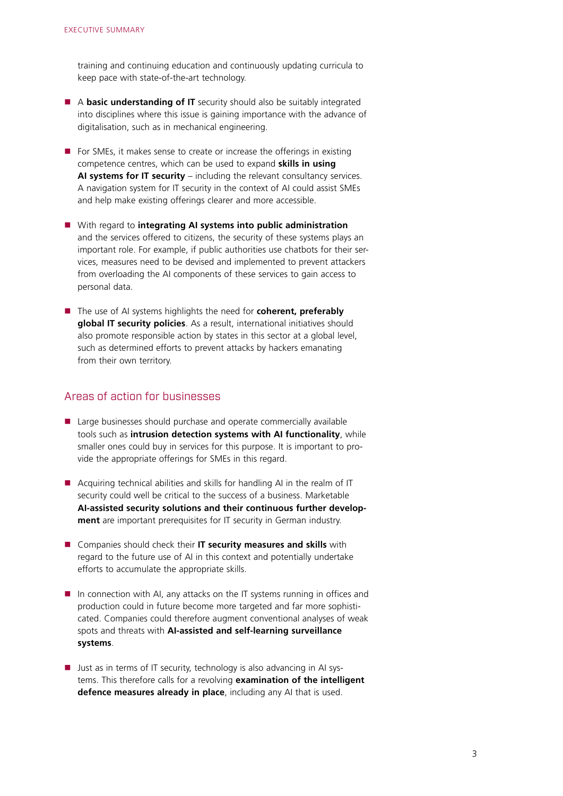training and continuing education and continuously updating curricula to keep pace with state-of-the-art technology.

- A **basic understanding of IT** security should also be suitably integrated into disciplines where this issue is gaining importance with the advance of digitalisation, such as in mechanical engineering.
- $\blacksquare$  For SMEs, it makes sense to create or increase the offerings in existing competence centres, which can be used to expand **skills in using AI systems for IT security** – including the relevant consultancy services. A navigation system for IT security in the context of AI could assist SMEs and help make existing offerings clearer and more accessible.
- With regard to **integrating AI systems into public administration** and the services offered to citizens, the security of these systems plays an important role. For example, if public authorities use chatbots for their services, measures need to be devised and implemented to prevent attackers from overloading the AI components of these services to gain access to personal data.
- The use of AI systems highlights the need for **coherent, preferably global IT security policies**. As a result, international initiatives should also promote responsible action by states in this sector at a global level, such as determined efforts to prevent attacks by hackers emanating from their own territory.

#### Areas of action for businesses

- Large businesses should purchase and operate commercially available tools such as **intrusion detection systems with AI functionality**, while smaller ones could buy in services for this purpose. It is important to provide the appropriate offerings for SMEs in this regard.
- Acquiring technical abilities and skills for handling AI in the realm of IT security could well be critical to the success of a business. Marketable **AI-assisted security solutions and their continuous further development** are important prerequisites for IT security in German industry.
- **E** Companies should check their **IT security measures and skills** with regard to the future use of AI in this context and potentially undertake efforts to accumulate the appropriate skills.
- In connection with AI, any attacks on the IT systems running in offices and production could in future become more targeted and far more sophisticated. Companies could therefore augment conventional analyses of weak spots and threats with **AI-assisted and self-learning surveillance systems**.
- **Just as in terms of IT security, technology is also advancing in AI sys**tems. This therefore calls for a revolving **examination of the intelligent defence measures already in place**, including any AI that is used.